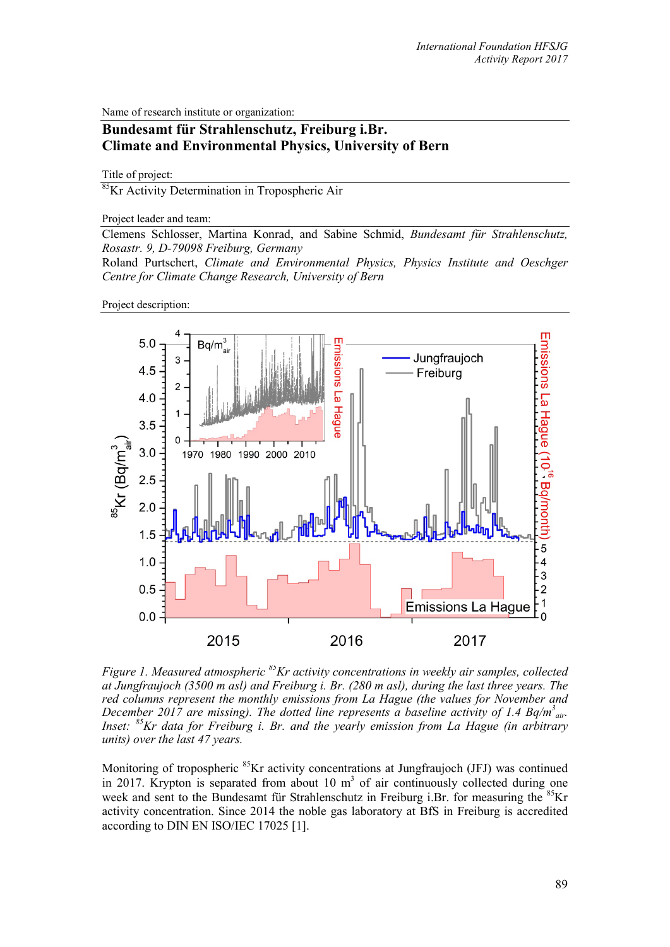Name of research institute or organization:

## **Bundesamt für Strahlenschutz, Freiburg i.Br. Climate and Environmental Physics, University of Bern**

Title of project:

85Kr Activity Determination in Tropospheric Air

Project leader and team:

Clemens Schlosser, Martina Konrad, and Sabine Schmid, *Bundesamt für Strahlenschutz, Rosastr. 9, D-79098 Freiburg, Germany*

Roland Purtschert, *Climate and Environmental Physics, Physics Institute and Oeschger Centre for Climate Change Research, University of Bern*

Project description:



*Figure 1. Measured atmospheric 85Kr activity concentrations in weekly air samples, collected at Jungfraujoch (3500 m asl) and Freiburg i. Br. (280 m asl), during the last three years. The red columns represent the monthly emissions from La Hague (the values for November and December 2017 are missing). The dotted line represents a baseline activity of 1.4 Bq/m<sup>3</sup><sub>air</sub>. Inset: 85Kr data for Freiburg i. Br. and the yearly emission from La Hague (in arbitrary units) over the last 47 years.* 

Monitoring of tropospheric <sup>85</sup>Kr activity concentrations at Jungfraujoch (JFJ) was continued in 2017. Krypton is separated from about 10  $m<sup>3</sup>$  of air continuously collected during one week and sent to the Bundesamt für Strahlenschutz in Freiburg i.Br. for measuring the  ${}^{85}$ Kr activity concentration. Since 2014 the noble gas laboratory at BfS in Freiburg is accredited according to DIN EN ISO/IEC 17025 [1].